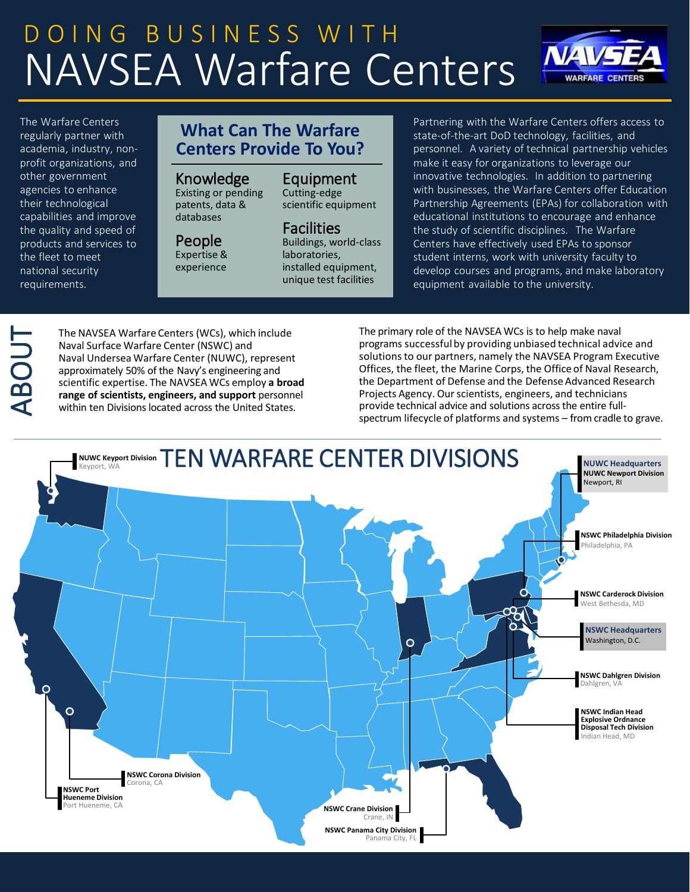# DOING BUSINESS WITH NAVSEA Warfare Centers

The Warfare Centers regularly partner with academia, industry, nonprofit organizations, and other government agencies to enhance their technological capabilities and improve the quality and speed of products and services to the fleet to meet national security requirements.

## **What Can The Warfare Centers Provide To You?**

## Knowledge

Existing or pending patents, data & databases

# People

Expertise & experience

# Equipment

Cutting-edge scientific equipment

## Facilities

Buildings, world-class laboratories, installed equipment, unique test facilities

Partnering with the Warfare Centers offers access to state-of-the-art DoD technology, facilities, and personnel. A variety of technical partnership vehicles make it easy for organizations to leverage our innovative technologies. In addition to partnering with businesses, the Warfare Centers offer Education Partnership Agreements (EPAs) for collaboration with educational institutions to encourage and enhance the study of scientific disciplines. The Warfare Centers have effectively used EPAs to sponsor student interns, work with university faculty to develop courses and programs, and make laboratory equipment available to the university.

**NAVSI** 

**WARFARE CENTERS** 

# ABOUT

The NAVSEA Warfare Centers (WCs), which include Naval Surface Warfare Center (NSWC) and Naval Undersea Warfare Center (NUWC), represent approximately 50% of the Navy's engineering and scientific expertise. The NAVSEA WCs employ **a broad range of scientists, engineers, and support** personnel within ten Divisions located across the United States.

The primary role of the NAVSEA WCs is to help make naval programs successfulby providing unbiased technical advice and solutions to our partners, namely the NAVSEA Program Executive Offices, the fleet, the Marine Corps, the Office of Naval Research, the Department of Defense and the Defense Advanced Research Projects Agency. Our scientists, engineers, and technicians provide technical advice and solutions acrossthe entire fullspectrum lifecycle of platforms and systems – from cradle to grave.